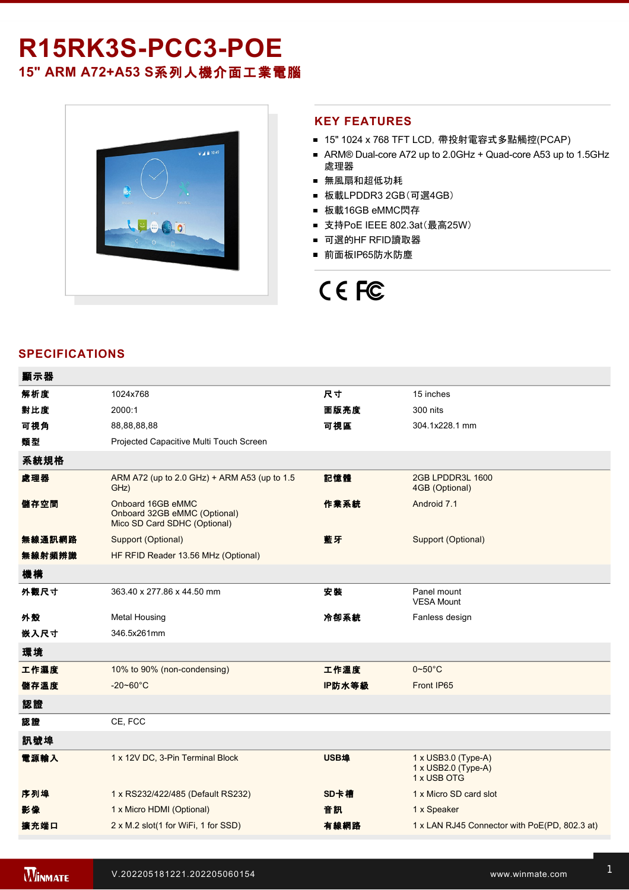## R15RK3S-PCC3-POE **15" ARM A72+A53 S**系列人機介面工業電腦

 $\bullet$  4 = 10:49 2000

#### **KEY FEATURES**

- 15" 1024 x 768 TFT LCD, 帶投射電容式多點觸控(PCAP)
- ARM® Dual-core A72 up to 2.0GHz + Quad-core A53 up to 1.5GHz 處理器
- 無風扇和超低功耗
- 板載LPDDR3 2GB(可選4GB)
- 板載16GB eMMC閃存
- 支持PoE IEEE 802.3at(最高25W)
- 可選的HF RFID讀取器
- 前面板IP65防水防塵

# CE FC

### **SPECIFICATIONS**

| 顯示器    |                                                                                   |        |                                                                         |
|--------|-----------------------------------------------------------------------------------|--------|-------------------------------------------------------------------------|
| 解析度    | 1024x768                                                                          | 尺寸     | 15 inches                                                               |
| 對比度    | 2000:1                                                                            | 面版亮度   | 300 nits                                                                |
| 可視角    | 88,88,88,88                                                                       | 可視區    | 304.1x228.1 mm                                                          |
| 類型     | Projected Capacitive Multi Touch Screen                                           |        |                                                                         |
| 系統規格   |                                                                                   |        |                                                                         |
| 處理器    | ARM A72 (up to 2.0 GHz) + ARM A53 (up to 1.5<br>GHz)                              | 記憶體    | 2GB LPDDR3L 1600<br>4GB (Optional)                                      |
| 儲存空間   | Onboard 16GB eMMC<br>Onboard 32GB eMMC (Optional)<br>Mico SD Card SDHC (Optional) | 作業系統   | Android 7.1                                                             |
| 無線通訊網路 | Support (Optional)                                                                | 藍牙     | Support (Optional)                                                      |
| 無線射頻辨識 | HF RFID Reader 13.56 MHz (Optional)                                               |        |                                                                         |
| 機構     |                                                                                   |        |                                                                         |
| 外觀尺寸   | 363.40 x 277.86 x 44.50 mm                                                        | 安裝     | Panel mount<br><b>VESA Mount</b>                                        |
| 外殼     | <b>Metal Housing</b>                                                              | 冷卻系統   | Fanless design                                                          |
| 嵌入尺寸   | 346.5x261mm                                                                       |        |                                                                         |
| 環境     |                                                                                   |        |                                                                         |
| 工作濕度   | 10% to 90% (non-condensing)                                                       | 工作溫度   | $0\negthinspace\negthinspace\negthinspace 50^{\circ}\mathrm{C}$         |
| 儲存溫度   | $-20 - 60^{\circ}$ C                                                              | IP防水等級 | Front IP65                                                              |
| 認證     |                                                                                   |        |                                                                         |
| 認證     | CE, FCC                                                                           |        |                                                                         |
| 訊號埠    |                                                                                   |        |                                                                         |
| 電源輸入   | 1 x 12V DC, 3-Pin Terminal Block                                                  | USB埠   | $1 \times$ USB3.0 (Type-A)<br>$1 \times$ USB2.0 (Type-A)<br>1 x USB OTG |
| 序列埠    | 1 x RS232/422/485 (Default RS232)                                                 | SD卡槽   | 1 x Micro SD card slot                                                  |
| 影像     | 1 x Micro HDMI (Optional)                                                         | 音訊     | 1 x Speaker                                                             |
| 擴充端口   | 2 x M.2 slot(1 for WiFi, 1 for SSD)                                               | 有線網路   | 1 x LAN RJ45 Connector with PoE(PD, 802.3 at)                           |
|        |                                                                                   |        |                                                                         |

Open Wire Cable with terminal block connector

配件 100~240V AC to DC Adapter